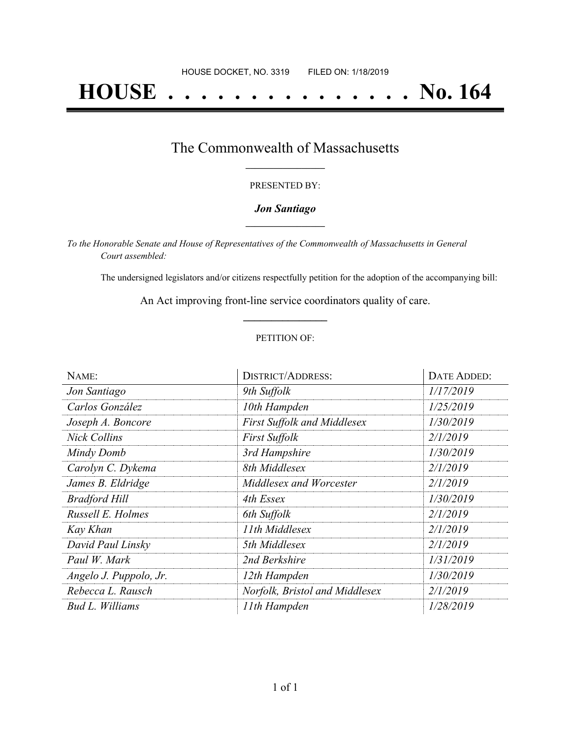# **HOUSE . . . . . . . . . . . . . . . No. 164**

### The Commonwealth of Massachusetts **\_\_\_\_\_\_\_\_\_\_\_\_\_\_\_\_\_**

#### PRESENTED BY:

#### *Jon Santiago* **\_\_\_\_\_\_\_\_\_\_\_\_\_\_\_\_\_**

*To the Honorable Senate and House of Representatives of the Commonwealth of Massachusetts in General Court assembled:*

The undersigned legislators and/or citizens respectfully petition for the adoption of the accompanying bill:

An Act improving front-line service coordinators quality of care. **\_\_\_\_\_\_\_\_\_\_\_\_\_\_\_**

#### PETITION OF:

| NAME:                  | <b>DISTRICT/ADDRESS:</b>           | DATE ADDED: |
|------------------------|------------------------------------|-------------|
| Jon Santiago           | 9th Suffolk                        | 1/17/2019   |
| Carlos González        | 10th Hampden                       | 1/25/2019   |
| Joseph A. Boncore      | <b>First Suffolk and Middlesex</b> | 1/30/2019   |
| Nick Collins           | <b>First Suffolk</b>               | 2/1/2019    |
| Mindy Domb             | 3rd Hampshire                      | 1/30/2019   |
| Carolyn C. Dykema      | 8th Middlesex                      | 2/1/2019    |
| James B. Eldridge      | Middlesex and Worcester            | 2/1/2019    |
| <b>Bradford Hill</b>   | 4th Essex                          | 1/30/2019   |
| Russell E. Holmes      | 6th Suffolk                        | 2/1/2019    |
| Kay Khan               | 11th Middlesex                     | 2/1/2019    |
| David Paul Linsky      | 5th Middlesex                      | 2/1/2019    |
| Paul W. Mark           | 2nd Berkshire                      | 1/31/2019   |
| Angelo J. Puppolo, Jr. | 12th Hampden                       | 1/30/2019   |
| Rebecca L. Rausch      | Norfolk, Bristol and Middlesex     | 2/1/2019    |
| Bud L. Williams        | 11th Hampden                       | 1/28/2019   |